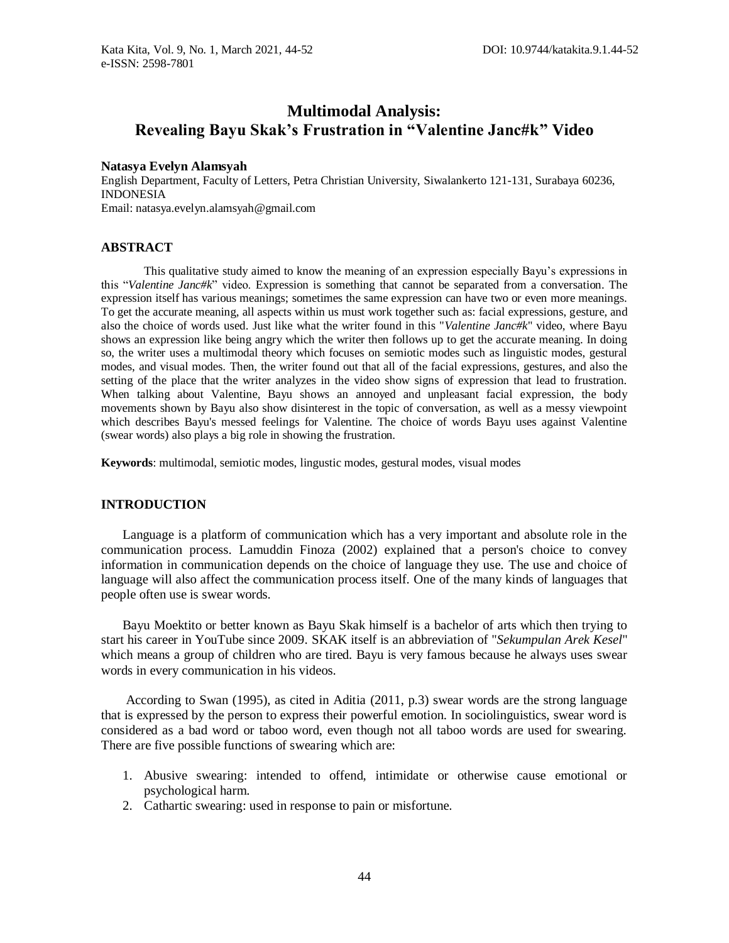# **Multimodal Analysis: Revealing Bayu Skak's Frustration in "Valentine Janc#k" Video**

#### **Natasya Evelyn Alamsyah**

English Department, Faculty of Letters, Petra Christian University, Siwalankerto 121-131, Surabaya 60236, INDONESIA Email: natasya.evelyn.alamsyah@gmail.com

#### **ABSTRACT**

This qualitative study aimed to know the meaning of an expression especially Bayu's expressions in this "*Valentine Janc#k*" video. Expression is something that cannot be separated from a conversation. The expression itself has various meanings; sometimes the same expression can have two or even more meanings. To get the accurate meaning, all aspects within us must work together such as: facial expressions, gesture, and also the choice of words used. Just like what the writer found in this "*Valentine Janc#k*" video, where Bayu shows an expression like being angry which the writer then follows up to get the accurate meaning. In doing so, the writer uses a multimodal theory which focuses on semiotic modes such as linguistic modes, gestural modes, and visual modes. Then, the writer found out that all of the facial expressions, gestures, and also the setting of the place that the writer analyzes in the video show signs of expression that lead to frustration. When talking about Valentine, Bayu shows an annoyed and unpleasant facial expression, the body movements shown by Bayu also show disinterest in the topic of conversation, as well as a messy viewpoint which describes Bayu's messed feelings for Valentine. The choice of words Bayu uses against Valentine (swear words) also plays a big role in showing the frustration.

**Keywords**: multimodal, semiotic modes, lingustic modes, gestural modes, visual modes

### **INTRODUCTION**

Language is a platform of communication which has a very important and absolute role in the communication process. Lamuddin Finoza (2002) explained that a person's choice to convey information in communication depends on the choice of language they use. The use and choice of language will also affect the communication process itself. One of the many kinds of languages that people often use is swear words.

Bayu Moektito or better known as Bayu Skak himself is a bachelor of arts which then trying to start his career in YouTube since 2009. SKAK itself is an abbreviation of "*Sekumpulan Arek Kesel*" which means a group of children who are tired. Bayu is very famous because he always uses swear words in every communication in his videos.

According to Swan (1995), as cited in Aditia (2011, p.3) swear words are the strong language that is expressed by the person to express their powerful emotion. In sociolinguistics, swear word is considered as a bad word or taboo word, even though not all taboo words are used for swearing. There are five possible functions of swearing which are:

- 1. Abusive swearing: intended to offend, intimidate or otherwise cause emotional or psychological harm.
- 2. Cathartic swearing: used in response to pain or misfortune.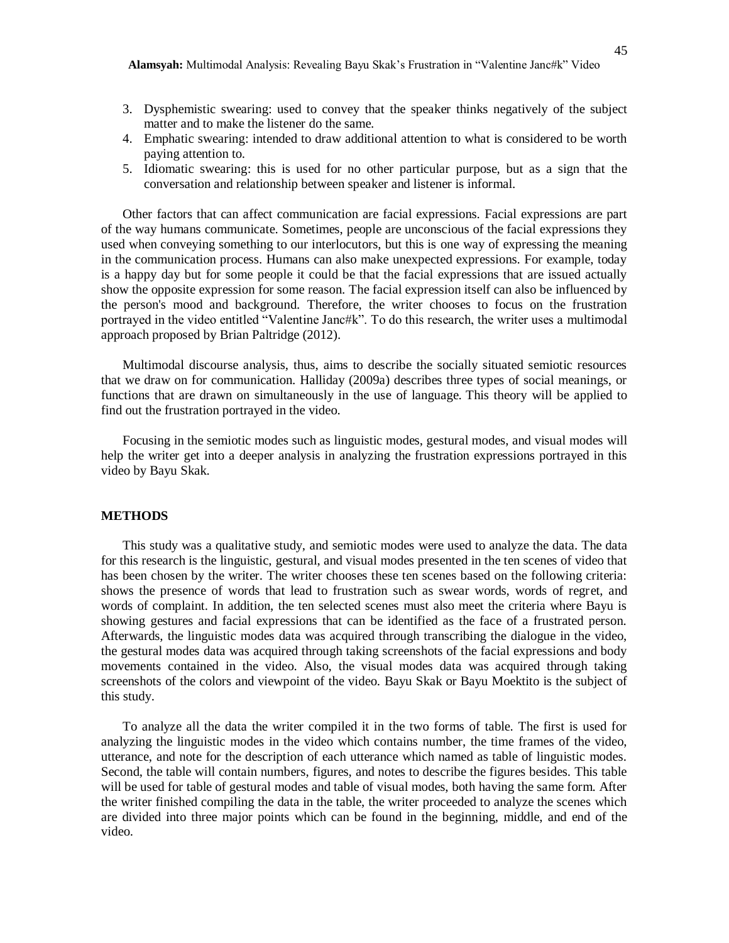- 3. Dysphemistic swearing: used to convey that the speaker thinks negatively of the subject matter and to make the listener do the same.
- 4. Emphatic swearing: intended to draw additional attention to what is considered to be worth paying attention to.
- 5. Idiomatic swearing: this is used for no other particular purpose, but as a sign that the conversation and relationship between speaker and listener is informal.

Other factors that can affect communication are facial expressions. Facial expressions are part of the way humans communicate. Sometimes, people are unconscious of the facial expressions they used when conveying something to our interlocutors, but this is one way of expressing the meaning in the communication process. Humans can also make unexpected expressions. For example, today is a happy day but for some people it could be that the facial expressions that are issued actually show the opposite expression for some reason. The facial expression itself can also be influenced by the person's mood and background. Therefore, the writer chooses to focus on the frustration portrayed in the video entitled "Valentine Janc#k". To do this research, the writer uses a multimodal approach proposed by Brian Paltridge (2012).

Multimodal discourse analysis, thus, aims to describe the socially situated semiotic resources that we draw on for communication. Halliday (2009a) describes three types of social meanings, or functions that are drawn on simultaneously in the use of language. This theory will be applied to find out the frustration portrayed in the video.

Focusing in the semiotic modes such as linguistic modes, gestural modes, and visual modes will help the writer get into a deeper analysis in analyzing the frustration expressions portrayed in this video by Bayu Skak.

#### **METHODS**

This study was a qualitative study, and semiotic modes were used to analyze the data. The data for this research is the linguistic, gestural, and visual modes presented in the ten scenes of video that has been chosen by the writer. The writer chooses these ten scenes based on the following criteria: shows the presence of words that lead to frustration such as swear words, words of regret, and words of complaint. In addition, the ten selected scenes must also meet the criteria where Bayu is showing gestures and facial expressions that can be identified as the face of a frustrated person. Afterwards, the linguistic modes data was acquired through transcribing the dialogue in the video, the gestural modes data was acquired through taking screenshots of the facial expressions and body movements contained in the video. Also, the visual modes data was acquired through taking screenshots of the colors and viewpoint of the video. Bayu Skak or Bayu Moektito is the subject of this study.

To analyze all the data the writer compiled it in the two forms of table. The first is used for analyzing the linguistic modes in the video which contains number, the time frames of the video, utterance, and note for the description of each utterance which named as table of linguistic modes. Second, the table will contain numbers, figures, and notes to describe the figures besides. This table will be used for table of gestural modes and table of visual modes, both having the same form. After the writer finished compiling the data in the table, the writer proceeded to analyze the scenes which are divided into three major points which can be found in the beginning, middle, and end of the video.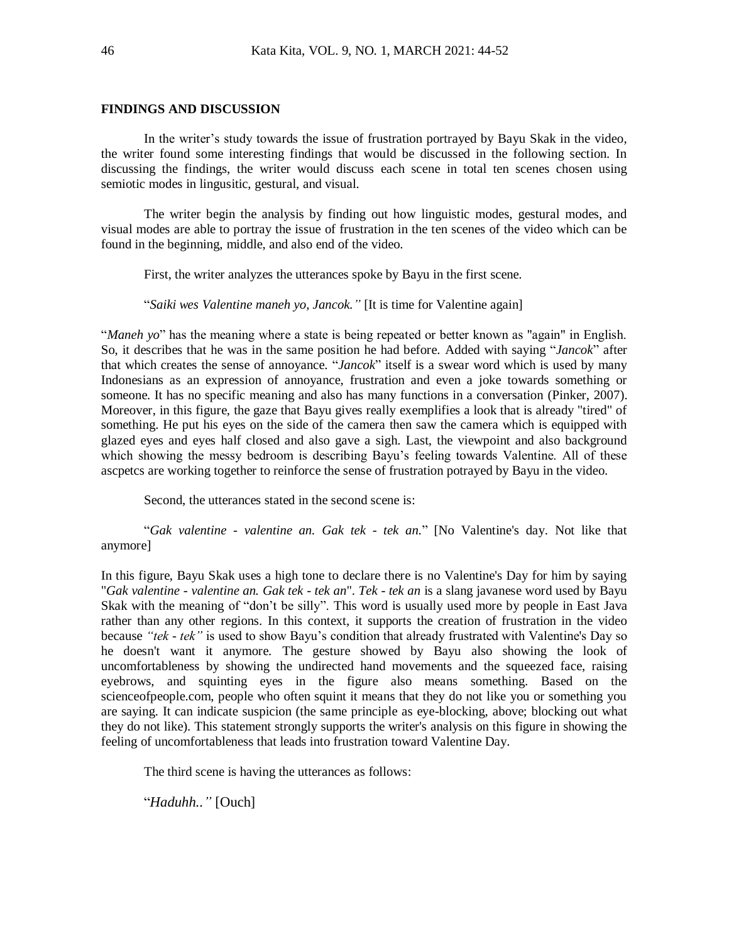#### **FINDINGS AND DISCUSSION**

In the writer's study towards the issue of frustration portrayed by Bayu Skak in the video, the writer found some interesting findings that would be discussed in the following section. In discussing the findings, the writer would discuss each scene in total ten scenes chosen using semiotic modes in lingusitic, gestural, and visual.

The writer begin the analysis by finding out how linguistic modes, gestural modes, and visual modes are able to portray the issue of frustration in the ten scenes of the video which can be found in the beginning, middle, and also end of the video.

First, the writer analyzes the utterances spoke by Bayu in the first scene.

"*Saiki wes Valentine maneh yo, Jancok."* [It is time for Valentine again]

"*Maneh yo*" has the meaning where a state is being repeated or better known as "again" in English. So, it describes that he was in the same position he had before. Added with saying "*Jancok*" after that which creates the sense of annoyance. "*Jancok*" itself is a swear word which is used by many Indonesians as an expression of annoyance, frustration and even a joke towards something or someone. It has no specific meaning and also has many functions in a conversation (Pinker, 2007). Moreover, in this figure, the gaze that Bayu gives really exemplifies a look that is already "tired" of something. He put his eyes on the side of the camera then saw the camera which is equipped with glazed eyes and eyes half closed and also gave a sigh. Last, the viewpoint and also background which showing the messy bedroom is describing Bayu's feeling towards Valentine. All of these ascpetcs are working together to reinforce the sense of frustration potrayed by Bayu in the video.

Second, the utterances stated in the second scene is:

"*Gak valentine - valentine an. Gak tek - tek an.*" [No Valentine's day. Not like that anymore]

In this figure, Bayu Skak uses a high tone to declare there is no Valentine's Day for him by saying "*Gak valentine - valentine an. Gak tek - tek an*". *Tek - tek an* is a slang javanese word used by Bayu Skak with the meaning of "don't be silly". This word is usually used more by people in East Java rather than any other regions. In this context, it supports the creation of frustration in the video because *"tek - tek"* is used to show Bayu's condition that already frustrated with Valentine's Day so he doesn't want it anymore. The gesture showed by Bayu also showing the look of uncomfortableness by showing the undirected hand movements and the squeezed face, raising eyebrows, and squinting eyes in the figure also means something. Based on the scienceofpeople.com, people who often squint it means that they do not like you or something you are saying. It can indicate suspicion (the same principle as eye-blocking, above; blocking out what they do not like). This statement strongly supports the writer's analysis on this figure in showing the feeling of uncomfortableness that leads into frustration toward Valentine Day.

The third scene is having the utterances as follows:

"*Haduhh.."* [Ouch]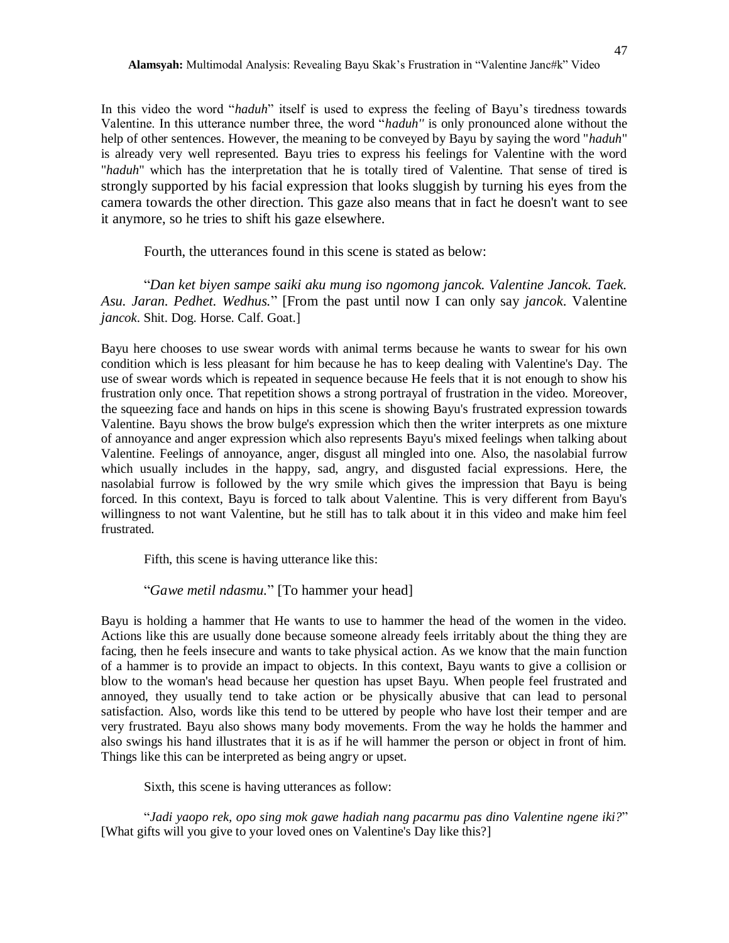In this video the word "*haduh*" itself is used to express the feeling of Bayu's tiredness towards Valentine. In this utterance number three, the word "*haduh''* is only pronounced alone without the help of other sentences. However, the meaning to be conveyed by Bayu by saying the word "*haduh*" is already very well represented. Bayu tries to express his feelings for Valentine with the word "*haduh*" which has the interpretation that he is totally tired of Valentine. That sense of tired is strongly supported by his facial expression that looks sluggish by turning his eyes from the camera towards the other direction. This gaze also means that in fact he doesn't want to see it anymore, so he tries to shift his gaze elsewhere.

Fourth, the utterances found in this scene is stated as below:

"*Dan ket biyen sampe saiki aku mung iso ngomong jancok. Valentine Jancok. Taek. Asu. Jaran. Pedhet. Wedhus.*" [From the past until now I can only say *jancok*. Valentine *jancok*. Shit. Dog. Horse. Calf. Goat.]

Bayu here chooses to use swear words with animal terms because he wants to swear for his own condition which is less pleasant for him because he has to keep dealing with Valentine's Day. The use of swear words which is repeated in sequence because He feels that it is not enough to show his frustration only once. That repetition shows a strong portrayal of frustration in the video. Moreover, the squeezing face and hands on hips in this scene is showing Bayu's frustrated expression towards Valentine. Bayu shows the brow bulge's expression which then the writer interprets as one mixture of annoyance and anger expression which also represents Bayu's mixed feelings when talking about Valentine. Feelings of annoyance, anger, disgust all mingled into one. Also, the nasolabial furrow which usually includes in the happy, sad, angry, and disgusted facial expressions. Here, the nasolabial furrow is followed by the wry smile which gives the impression that Bayu is being forced. In this context, Bayu is forced to talk about Valentine. This is very different from Bayu's willingness to not want Valentine, but he still has to talk about it in this video and make him feel frustrated.

Fifth, this scene is having utterance like this:

"*Gawe metil ndasmu.*" [To hammer your head]

Bayu is holding a hammer that He wants to use to hammer the head of the women in the video. Actions like this are usually done because someone already feels irritably about the thing they are facing, then he feels insecure and wants to take physical action. As we know that the main function of a hammer is to provide an impact to objects. In this context, Bayu wants to give a collision or blow to the woman's head because her question has upset Bayu. When people feel frustrated and annoyed, they usually tend to take action or be physically abusive that can lead to personal satisfaction. Also, words like this tend to be uttered by people who have lost their temper and are very frustrated. Bayu also shows many body movements. From the way he holds the hammer and also swings his hand illustrates that it is as if he will hammer the person or object in front of him. Things like this can be interpreted as being angry or upset.

Sixth, this scene is having utterances as follow:

"*Jadi yaopo rek, opo sing mok gawe hadiah nang pacarmu pas dino Valentine ngene iki?*" [What gifts will you give to your loved ones on Valentine's Day like this?]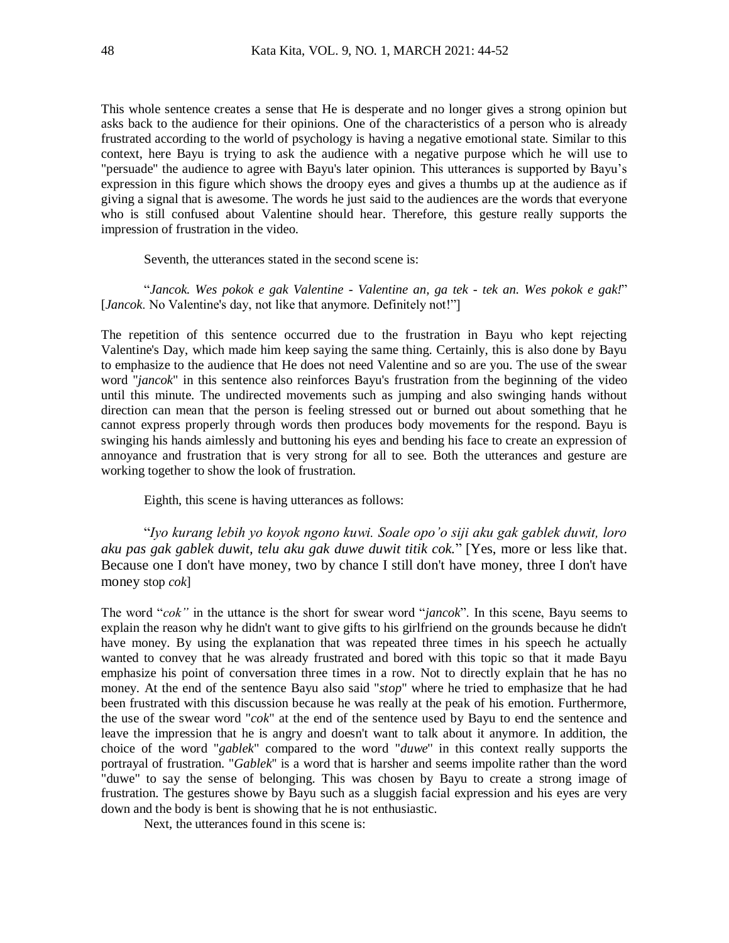This whole sentence creates a sense that He is desperate and no longer gives a strong opinion but asks back to the audience for their opinions. One of the characteristics of a person who is already frustrated according to the world of psychology is having a negative emotional state. Similar to this context, here Bayu is trying to ask the audience with a negative purpose which he will use to "persuade" the audience to agree with Bayu's later opinion. This utterances is supported by Bayu's expression in this figure which shows the droopy eyes and gives a thumbs up at the audience as if giving a signal that is awesome. The words he just said to the audiences are the words that everyone who is still confused about Valentine should hear. Therefore, this gesture really supports the impression of frustration in the video.

Seventh, the utterances stated in the second scene is:

"*Jancok. Wes pokok e gak Valentine - Valentine an, ga tek - tek an. Wes pokok e gak!*" [*Jancok*. No Valentine's day, not like that anymore. Definitely not!"]

The repetition of this sentence occurred due to the frustration in Bayu who kept rejecting Valentine's Day, which made him keep saying the same thing. Certainly, this is also done by Bayu to emphasize to the audience that He does not need Valentine and so are you. The use of the swear word "*jancok*" in this sentence also reinforces Bayu's frustration from the beginning of the video until this minute. The undirected movements such as jumping and also swinging hands without direction can mean that the person is feeling stressed out or burned out about something that he cannot express properly through words then produces body movements for the respond. Bayu is swinging his hands aimlessly and buttoning his eyes and bending his face to create an expression of annoyance and frustration that is very strong for all to see. Both the utterances and gesture are working together to show the look of frustration.

Eighth, this scene is having utterances as follows:

"*Iyo kurang lebih yo koyok ngono kuwi. Soale opo'o siji aku gak gablek duwit, loro aku pas gak gablek duwit, telu aku gak duwe duwit titik cok.*" [Yes, more or less like that. Because one I don't have money, two by chance I still don't have money, three I don't have money stop *cok*]

The word "*cok"* in the uttance is the short for swear word "*jancok*". In this scene, Bayu seems to explain the reason why he didn't want to give gifts to his girlfriend on the grounds because he didn't have money. By using the explanation that was repeated three times in his speech he actually wanted to convey that he was already frustrated and bored with this topic so that it made Bayu emphasize his point of conversation three times in a row. Not to directly explain that he has no money. At the end of the sentence Bayu also said "*stop*" where he tried to emphasize that he had been frustrated with this discussion because he was really at the peak of his emotion. Furthermore, the use of the swear word "*cok*" at the end of the sentence used by Bayu to end the sentence and leave the impression that he is angry and doesn't want to talk about it anymore. In addition, the choice of the word "*gablek*" compared to the word "*duwe*'' in this context really supports the portrayal of frustration. "*Gablek*'' is a word that is harsher and seems impolite rather than the word "duwe" to say the sense of belonging. This was chosen by Bayu to create a strong image of frustration. The gestures showe by Bayu such as a sluggish facial expression and his eyes are very down and the body is bent is showing that he is not enthusiastic.

Next, the utterances found in this scene is: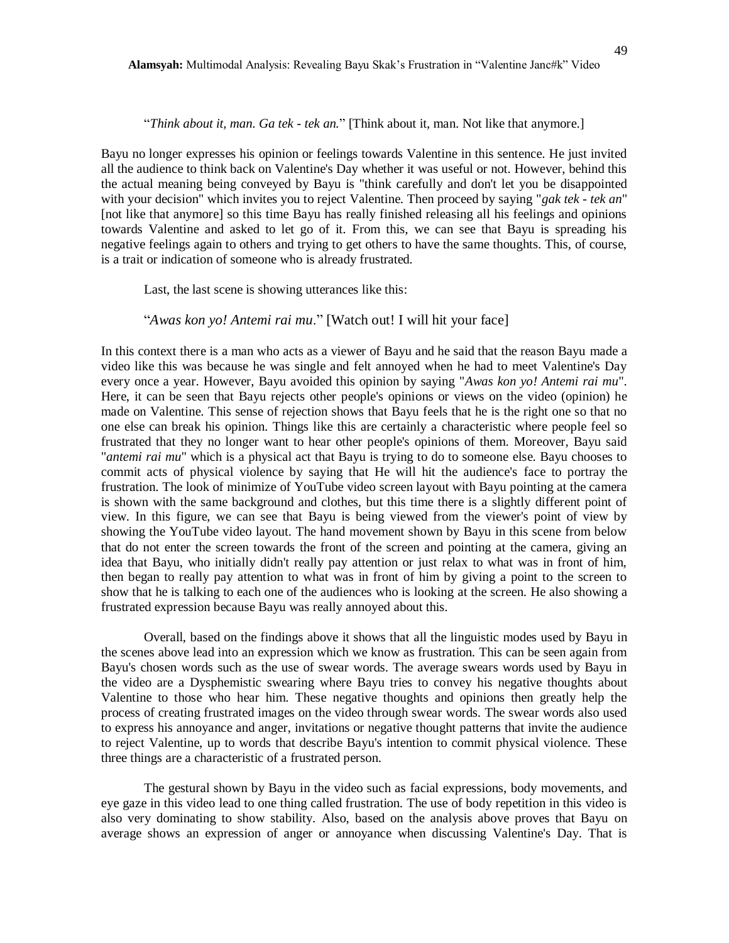#### "*Think about it, man. Ga tek - tek an.*" [Think about it, man. Not like that anymore.]

Bayu no longer expresses his opinion or feelings towards Valentine in this sentence. He just invited all the audience to think back on Valentine's Day whether it was useful or not. However, behind this the actual meaning being conveyed by Bayu is "think carefully and don't let you be disappointed with your decision" which invites you to reject Valentine. Then proceed by saying "*gak tek - tek an*" [not like that anymore] so this time Bayu has really finished releasing all his feelings and opinions towards Valentine and asked to let go of it. From this, we can see that Bayu is spreading his negative feelings again to others and trying to get others to have the same thoughts. This, of course, is a trait or indication of someone who is already frustrated.

Last, the last scene is showing utterances like this:

## "*Awas kon yo! Antemi rai mu*." [Watch out! I will hit your face]

In this context there is a man who acts as a viewer of Bayu and he said that the reason Bayu made a video like this was because he was single and felt annoyed when he had to meet Valentine's Day every once a year. However, Bayu avoided this opinion by saying "*Awas kon yo! Antemi rai mu*". Here, it can be seen that Bayu rejects other people's opinions or views on the video (opinion) he made on Valentine. This sense of rejection shows that Bayu feels that he is the right one so that no one else can break his opinion. Things like this are certainly a characteristic where people feel so frustrated that they no longer want to hear other people's opinions of them. Moreover, Bayu said "*antemi rai mu*" which is a physical act that Bayu is trying to do to someone else. Bayu chooses to commit acts of physical violence by saying that He will hit the audience's face to portray the frustration. The look of minimize of YouTube video screen layout with Bayu pointing at the camera is shown with the same background and clothes, but this time there is a slightly different point of view. In this figure, we can see that Bayu is being viewed from the viewer's point of view by showing the YouTube video layout. The hand movement shown by Bayu in this scene from below that do not enter the screen towards the front of the screen and pointing at the camera, giving an idea that Bayu, who initially didn't really pay attention or just relax to what was in front of him, then began to really pay attention to what was in front of him by giving a point to the screen to show that he is talking to each one of the audiences who is looking at the screen. He also showing a frustrated expression because Bayu was really annoyed about this.

Overall, based on the findings above it shows that all the linguistic modes used by Bayu in the scenes above lead into an expression which we know as frustration. This can be seen again from Bayu's chosen words such as the use of swear words. The average swears words used by Bayu in the video are a Dysphemistic swearing where Bayu tries to convey his negative thoughts about Valentine to those who hear him. These negative thoughts and opinions then greatly help the process of creating frustrated images on the video through swear words. The swear words also used to express his annoyance and anger, invitations or negative thought patterns that invite the audience to reject Valentine, up to words that describe Bayu's intention to commit physical violence. These three things are a characteristic of a frustrated person.

The gestural shown by Bayu in the video such as facial expressions, body movements, and eye gaze in this video lead to one thing called frustration. The use of body repetition in this video is also very dominating to show stability. Also, based on the analysis above proves that Bayu on average shows an expression of anger or annoyance when discussing Valentine's Day. That is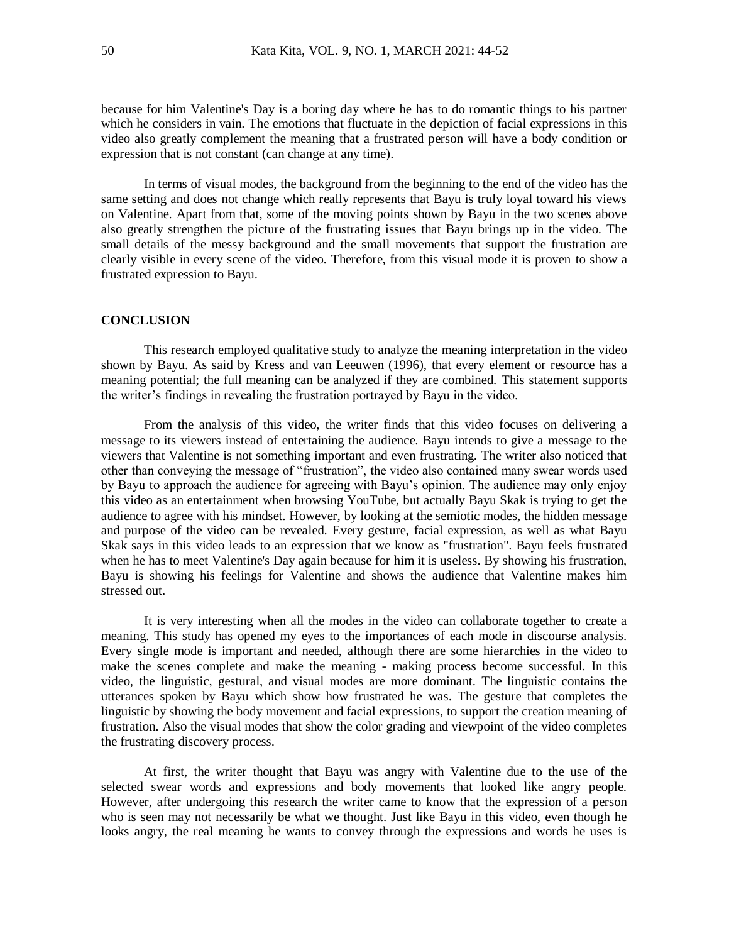because for him Valentine's Day is a boring day where he has to do romantic things to his partner which he considers in vain. The emotions that fluctuate in the depiction of facial expressions in this video also greatly complement the meaning that a frustrated person will have a body condition or expression that is not constant (can change at any time).

In terms of visual modes, the background from the beginning to the end of the video has the same setting and does not change which really represents that Bayu is truly loyal toward his views on Valentine. Apart from that, some of the moving points shown by Bayu in the two scenes above also greatly strengthen the picture of the frustrating issues that Bayu brings up in the video. The small details of the messy background and the small movements that support the frustration are clearly visible in every scene of the video. Therefore, from this visual mode it is proven to show a frustrated expression to Bayu.

#### **CONCLUSION**

This research employed qualitative study to analyze the meaning interpretation in the video shown by Bayu. As said by Kress and van Leeuwen (1996), that every element or resource has a meaning potential; the full meaning can be analyzed if they are combined. This statement supports the writer's findings in revealing the frustration portrayed by Bayu in the video.

From the analysis of this video, the writer finds that this video focuses on delivering a message to its viewers instead of entertaining the audience. Bayu intends to give a message to the viewers that Valentine is not something important and even frustrating. The writer also noticed that other than conveying the message of "frustration", the video also contained many swear words used by Bayu to approach the audience for agreeing with Bayu's opinion. The audience may only enjoy this video as an entertainment when browsing YouTube, but actually Bayu Skak is trying to get the audience to agree with his mindset. However, by looking at the semiotic modes, the hidden message and purpose of the video can be revealed. Every gesture, facial expression, as well as what Bayu Skak says in this video leads to an expression that we know as "frustration". Bayu feels frustrated when he has to meet Valentine's Day again because for him it is useless. By showing his frustration, Bayu is showing his feelings for Valentine and shows the audience that Valentine makes him stressed out.

It is very interesting when all the modes in the video can collaborate together to create a meaning. This study has opened my eyes to the importances of each mode in discourse analysis. Every single mode is important and needed, although there are some hierarchies in the video to make the scenes complete and make the meaning - making process become successful. In this video, the linguistic, gestural, and visual modes are more dominant. The linguistic contains the utterances spoken by Bayu which show how frustrated he was. The gesture that completes the linguistic by showing the body movement and facial expressions, to support the creation meaning of frustration. Also the visual modes that show the color grading and viewpoint of the video completes the frustrating discovery process.

At first, the writer thought that Bayu was angry with Valentine due to the use of the selected swear words and expressions and body movements that looked like angry people. However, after undergoing this research the writer came to know that the expression of a person who is seen may not necessarily be what we thought. Just like Bayu in this video, even though he looks angry, the real meaning he wants to convey through the expressions and words he uses is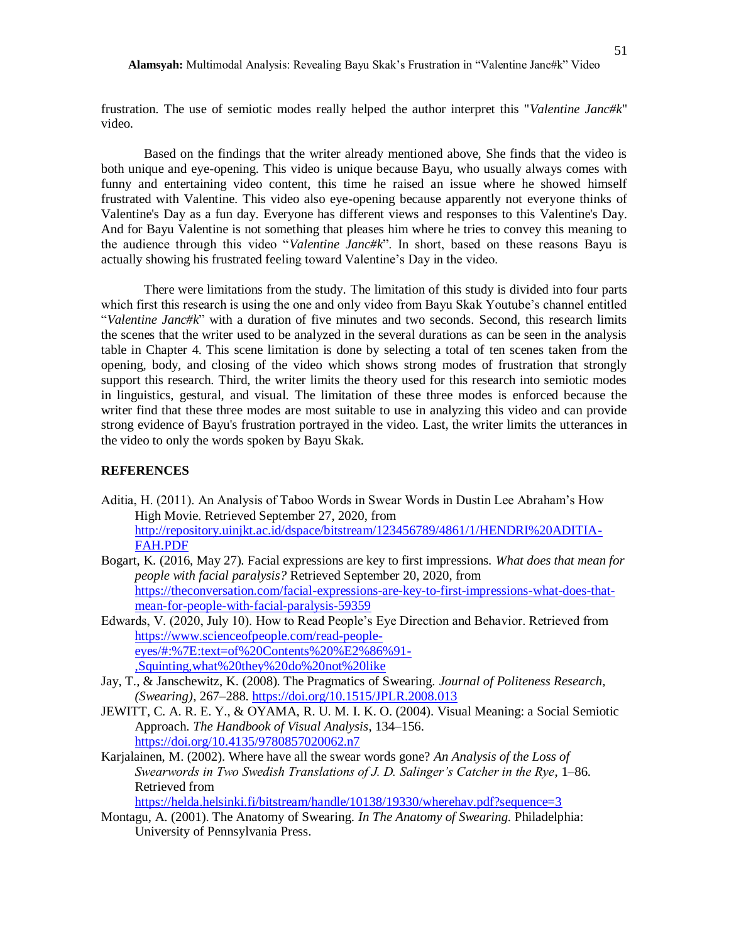frustration. The use of semiotic modes really helped the author interpret this "*Valentine Janc#k*" video.

Based on the findings that the writer already mentioned above, She finds that the video is both unique and eye-opening. This video is unique because Bayu, who usually always comes with funny and entertaining video content, this time he raised an issue where he showed himself frustrated with Valentine. This video also eye-opening because apparently not everyone thinks of Valentine's Day as a fun day. Everyone has different views and responses to this Valentine's Day. And for Bayu Valentine is not something that pleases him where he tries to convey this meaning to the audience through this video "*Valentine Janc#k*". In short, based on these reasons Bayu is actually showing his frustrated feeling toward Valentine's Day in the video.

There were limitations from the study. The limitation of this study is divided into four parts which first this research is using the one and only video from Bayu Skak Youtube's channel entitled "*Valentine Janc#k*" with a duration of five minutes and two seconds. Second, this research limits the scenes that the writer used to be analyzed in the several durations as can be seen in the analysis table in Chapter 4. This scene limitation is done by selecting a total of ten scenes taken from the opening, body, and closing of the video which shows strong modes of frustration that strongly support this research. Third, the writer limits the theory used for this research into semiotic modes in linguistics, gestural, and visual. The limitation of these three modes is enforced because the writer find that these three modes are most suitable to use in analyzing this video and can provide strong evidence of Bayu's frustration portrayed in the video. Last, the writer limits the utterances in the video to only the words spoken by Bayu Skak.

## **REFERENCES**

- Aditia, H. (2011). An Analysis of Taboo Words in Swear Words in Dustin Lee Abraham's How High Movie. Retrieved September 27, 2020, from [http://repository.uinjkt.ac.id/dspace/bitstream/123456789/4861/1/HENDRI%20ADITIA-](http://repository.uinjkt.ac.id/dspace/bitstream/123456789/4861/1/HENDRI%20ADITIA-FAH.PDF)[FAH.PDF](http://repository.uinjkt.ac.id/dspace/bitstream/123456789/4861/1/HENDRI%20ADITIA-FAH.PDF)
- Bogart, K. (2016, May 27). Facial expressions are key to first impressions. *What does that mean for people with facial paralysis?* Retrieved September 20, 2020, from [https://theconversation.com/facial-expressions-are-key-to-first-impressions-what-does-that](https://theconversation.com/facial-expressions-are-key-to-first-impressions-what-does-that-mean-for-people-with-facial-paralysis-59359)[mean-for-people-with-facial-paralysis-59359](https://theconversation.com/facial-expressions-are-key-to-first-impressions-what-does-that-mean-for-people-with-facial-paralysis-59359)
- Edwards, V. (2020, July 10). How to Read People's Eye Direction and Behavior. Retrieved from [https://www.scienceofpeople.com/read-people](https://www.scienceofpeople.com/read-people-eyes/#:%7E:text=of%20Contents%20%E2%86%91-,Squinting,what%20they%20do%20not%20like)[eyes/#:%7E:text=of%20Contents%20%E2%86%91-](https://www.scienceofpeople.com/read-people-eyes/#:%7E:text=of%20Contents%20%E2%86%91-,Squinting,what%20they%20do%20not%20like) [,Squinting,what%20they%20do%20not%20like](https://www.scienceofpeople.com/read-people-eyes/#:%7E:text=of%20Contents%20%E2%86%91-,Squinting,what%20they%20do%20not%20like)
- Jay, T., & Janschewitz, K. (2008). The Pragmatics of Swearing. *Journal of Politeness Research, (Swearing)*, 267–288.<https://doi.org/10.1515/JPLR.2008.013>
- JEWITT, C. A. R. E. Y., & OYAMA, R. U. M. I. K. O. (2004). Visual Meaning: a Social Semiotic Approach. *The Handbook of Visual Analysis*, 134–156. <https://doi.org/10.4135/9780857020062.n7>
- Karjalainen, M. (2002). Where have all the swear words gone? *An Analysis of the Loss of Swearwords in Two Swedish Translations of J. D. Salinger's Catcher in the Rye*, 1–86. Retrieved from

<https://helda.helsinki.fi/bitstream/handle/10138/19330/wherehav.pdf?sequence=3>

Montagu, A. (2001). The Anatomy of Swearing. *In The Anatomy of Swearing.* Philadelphia: University of Pennsylvania Press.